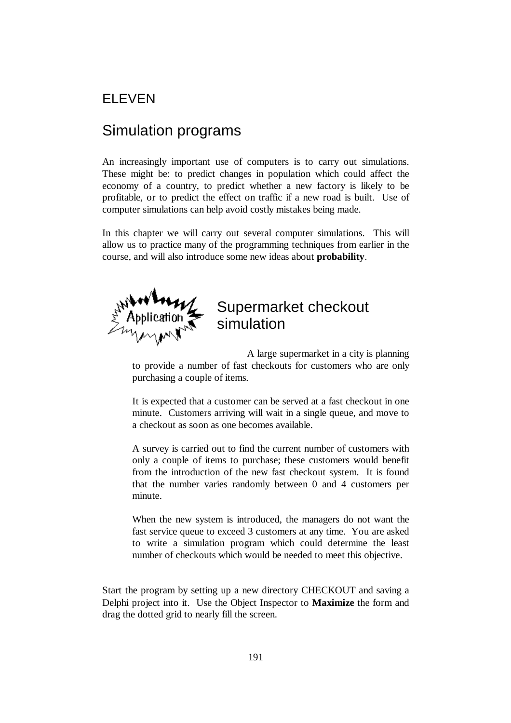## ELEVEN

# Simulation programs

An increasingly important use of computers is to carry out simulations. These might be: to predict changes in population which could affect the economy of a country, to predict whether a new factory is likely to be profitable, or to predict the effect on traffic if a new road is built. Use of computer simulations can help avoid costly mistakes being made.

In this chapter we will carry out several computer simulations. This will allow us to practice many of the programming techniques from earlier in the course, and will also introduce some new ideas about **probability**.



# Supermarket checkout simulation

A large supermarket in a city is planning to provide a number of fast checkouts for customers who are only purchasing a couple of items.

It is expected that a customer can be served at a fast checkout in one minute. Customers arriving will wait in a single queue, and move to a checkout as soon as one becomes available.

A survey is carried out to find the current number of customers with only a couple of items to purchase; these customers would benefit from the introduction of the new fast checkout system. It is found that the number varies randomly between 0 and 4 customers per minute.

When the new system is introduced, the managers do not want the fast service queue to exceed 3 customers at any time. You are asked to write a simulation program which could determine the least number of checkouts which would be needed to meet this objective.

Start the program by setting up a new directory CHECKOUT and saving a Delphi project into it. Use the Object Inspector to **Maximize** the form and drag the dotted grid to nearly fill the screen.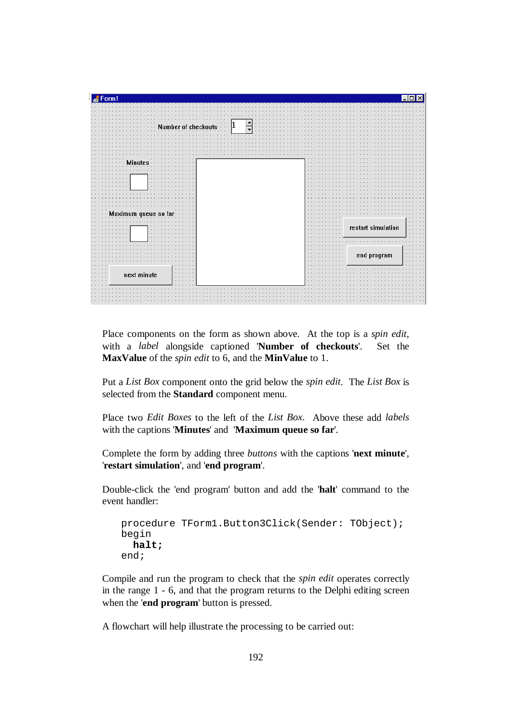

Place components on the form as shown above. At the top is a *spin edit*, with a *label* alongside captioned '**Number of checkouts**'. Set the **MaxValue** of the *spin edit* to 6, and the **MinValue** to 1.

Put a *List Box* component onto the grid below the *spin edit*. The *List Box* is selected from the **Standard** component menu.

Place two *Edit Boxes* to the left of the *List Box.* Above these add *labels* with the captions '**Minutes**' and '**Maximum queue so far**'.

Complete the form by adding three *buttons* with the captions '**next minute**', '**restart simulation**', and '**end program**'.

Double-click the 'end program' button and add the '**halt**' command to the event handler:

```
procedure TForm1.Button3Click(Sender: TObject); 
begin 
   halt; 
end;
```
Compile and run the program to check that the *spin edit* operates correctly in the range 1 - 6, and that the program returns to the Delphi editing screen when the '**end program**' button is pressed.

A flowchart will help illustrate the processing to be carried out: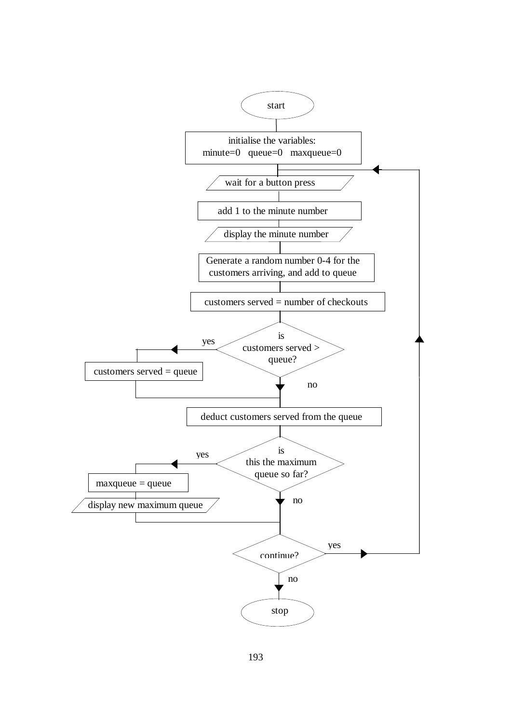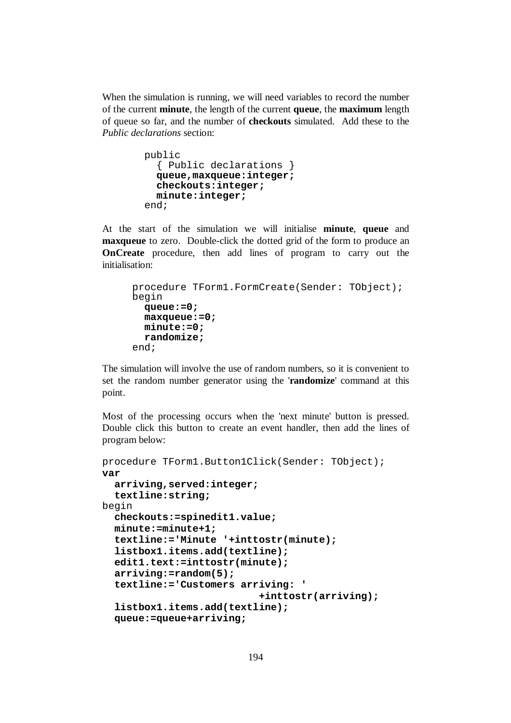When the simulation is running, we will need variables to record the number of the current **minute**, the length of the current **queue**, the **maximum** length of queue so far, and the number of **checkouts** simulated. Add these to the *Public declarations* section:

```
 public 
   { Public declarations } 
   queue,maxqueue:integer; 
   checkouts:integer; 
   minute:integer; 
 end;
```
At the start of the simulation we will initialise **minute**, **queue** and **maxqueue** to zero. Double-click the dotted grid of the form to produce an **OnCreate** procedure, then add lines of program to carry out the initialisation:

```
procedure TForm1.FormCreate(Sender: TObject); 
begin 
   queue:=0; 
   maxqueue:=0; 
   minute:=0; 
   randomize; 
end;
```
The simulation will involve the use of random numbers, so it is convenient to set the random number generator using the '**randomize**' command at this point.

Most of the processing occurs when the 'next minute' button is pressed. Double click this button to create an event handler, then add the lines of program below:

```
procedure TForm1.Button1Click(Sender: TObject); 
var 
   arriving,served:integer; 
   textline:string; 
begin 
   checkouts:=spinedit1.value; 
   minute:=minute+1; 
   textline:='Minute '+inttostr(minute); 
   listbox1.items.add(textline); 
   edit1.text:=inttostr(minute); 
   arriving:=random(5); 
   textline:='Customers arriving: ' 
                             +inttostr(arriving); 
   listbox1.items.add(textline); 
   queue:=queue+arriving;
```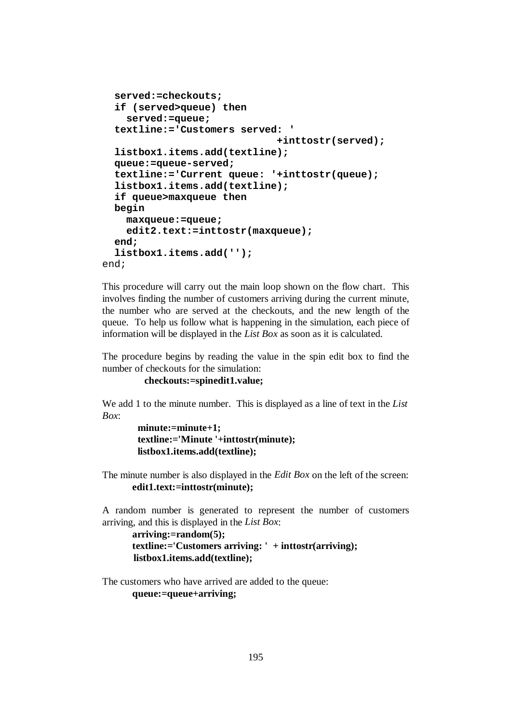```
 served:=checkouts; 
   if (served>queue) then 
     served:=queue; 
   textline:='Customers served: ' 
                                 +inttostr(served); 
   listbox1.items.add(textline); 
   queue:=queue-served; 
   textline:='Current queue: '+inttostr(queue); 
   listbox1.items.add(textline); 
   if queue>maxqueue then 
   begin 
     maxqueue:=queue; 
     edit2.text:=inttostr(maxqueue); 
   end; 
   listbox1.items.add(''); 
end;
```
This procedure will carry out the main loop shown on the flow chart. This involves finding the number of customers arriving during the current minute, the number who are served at the checkouts, and the new length of the queue. To help us follow what is happening in the simulation, each piece of information will be displayed in the *List Box* as soon as it is calculated.

The procedure begins by reading the value in the spin edit box to find the number of checkouts for the simulation:

```
 checkouts:=spinedit1.value;
```
We add 1 to the minute number. This is displayed as a line of text in the *List Box*:

```
 minute:=minute+1; 
 textline:='Minute '+inttostr(minute); 
 listbox1.items.add(textline);
```
The minute number is also displayed in the *Edit Box* on the left of the screen:  **edit1.text:=inttostr(minute);** 

A random number is generated to represent the number of customers arriving, and this is displayed in the *List Box*:

```
 arriving:=random(5); 
 textline:='Customers arriving: ' + inttostr(arriving); 
 listbox1.items.add(textline);
```
The customers who have arrived are added to the queue:  **queue:=queue+arriving;**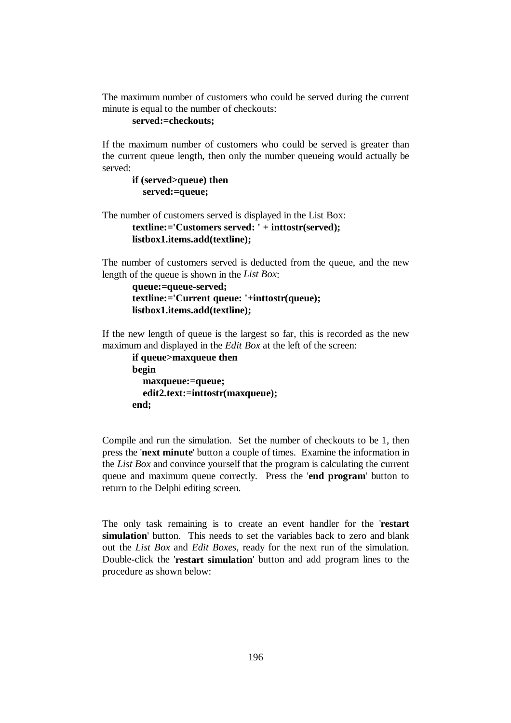The maximum number of customers who could be served during the current minute is equal to the number of checkouts:

#### **served:=checkouts;**

If the maximum number of customers who could be served is greater than the current queue length, then only the number queueing would actually be served:

```
if (served>queue) then 
   served:=queue;
```
The number of customers served is displayed in the List Box:

```
textline:='Customers served: ' + inttostr(served); 
listbox1.items.add(textline);
```
The number of customers served is deducted from the queue, and the new length of the queue is shown in the *List Box*:

```
queue:=queue-served; 
textline:='Current queue: '+inttostr(queue); 
listbox1.items.add(textline);
```
If the new length of queue is the largest so far, this is recorded as the new maximum and displayed in the *Edit Box* at the left of the screen:

```
if queue>maxqueue then 
begin 
   maxqueue:=queue; 
   edit2.text:=inttostr(maxqueue); 
end;
```
Compile and run the simulation. Set the number of checkouts to be 1, then press the '**next minute**' button a couple of times. Examine the information in the *List Box* and convince yourself that the program is calculating the current queue and maximum queue correctly. Press the '**end program**' button to return to the Delphi editing screen.

The only task remaining is to create an event handler for the '**restart simulation**' button. This needs to set the variables back to zero and blank out the *List Box* and *Edit Boxes*, ready for the next run of the simulation. Double-click the '**restart simulation**' button and add program lines to the procedure as shown below: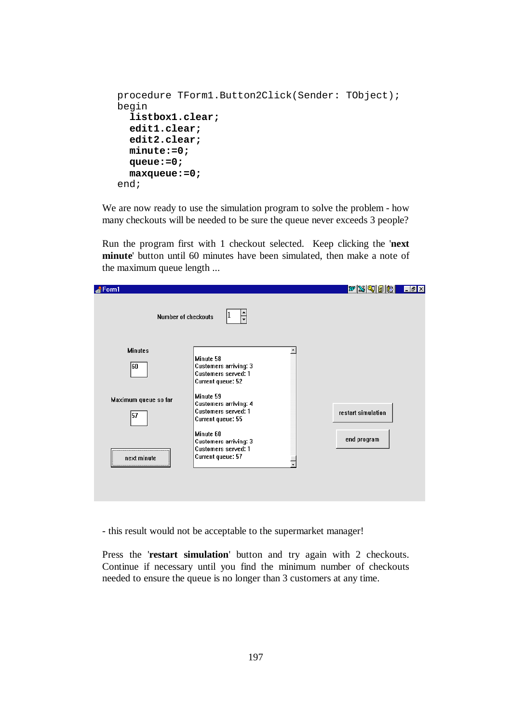```
procedure TForm1.Button2Click(Sender: TObject); 
begin 
   listbox1.clear; 
   edit1.clear; 
   edit2.clear; 
   minute:=0; 
   queue:=0; 
   maxqueue:=0; 
end;
```
We are now ready to use the simulation program to solve the problem - how many checkouts will be needed to be sure the queue never exceeds 3 people?

Run the program first with 1 checkout selected. Keep clicking the '**next minute**' button until 60 minutes have been simulated, then make a note of the maximum queue length ...

| Form1                |                                                                                | $w$ x q d $\mathbb{B}$<br>$ E  \leq  E $ |
|----------------------|--------------------------------------------------------------------------------|------------------------------------------|
| Number of checkouts  |                                                                                |                                          |
| <b>Minutes</b>       |                                                                                |                                          |
| 60                   | Minute 58<br>Customers arriving: 3<br>Customers served: 1<br>Current queue: 52 |                                          |
| Maximum queue so far | Minute 59                                                                      |                                          |
| 57                   | Customers arriving: 4<br>Customers served: 1<br>Current queue: 55              | restart simulation                       |
|                      | Minute 60                                                                      | end program                              |
|                      | Customers arriving: 3<br>Customers served: 1                                   |                                          |
| next minute<br>      | Current queue: 57                                                              |                                          |
|                      |                                                                                |                                          |
|                      |                                                                                |                                          |
|                      |                                                                                |                                          |

- this result would not be acceptable to the supermarket manager!

Press the '**restart simulation**' button and try again with 2 checkouts. Continue if necessary until you find the minimum number of checkouts needed to ensure the queue is no longer than 3 customers at any time.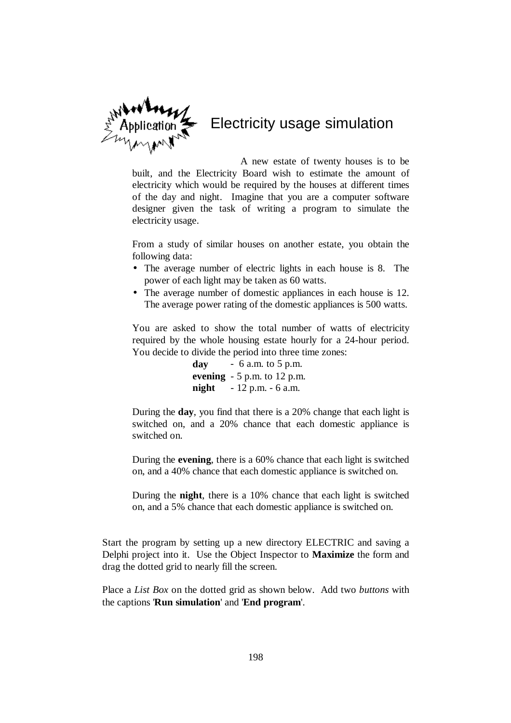

A new estate of twenty houses is to be built, and the Electricity Board wish to estimate the amount of electricity which would be required by the houses at different times of the day and night. Imagine that you are a computer software designer given the task of writing a program to simulate the electricity usage.

From a study of similar houses on another estate, you obtain the following data:

- The average number of electric lights in each house is 8. The power of each light may be taken as 60 watts.
- The average number of domestic appliances in each house is 12. The average power rating of the domestic appliances is 500 watts.

You are asked to show the total number of watts of electricity required by the whole housing estate hourly for a 24-hour period. You decide to divide the period into three time zones:

> **day** - 6 a.m. to 5 p.m. **evening** - 5 p.m. to 12 p.m. **night** - 12 p.m. - 6 a.m.

During the **day**, you find that there is a 20% change that each light is switched on, and a 20% chance that each domestic appliance is switched on.

During the **evening**, there is a 60% chance that each light is switched on, and a 40% chance that each domestic appliance is switched on.

During the **night**, there is a 10% chance that each light is switched on, and a 5% chance that each domestic appliance is switched on.

Start the program by setting up a new directory ELECTRIC and saving a Delphi project into it. Use the Object Inspector to **Maximize** the form and drag the dotted grid to nearly fill the screen.

Place a *List Box* on the dotted grid as shown below. Add two *buttons* with the captions '**Run simulation**' and '**End program**'.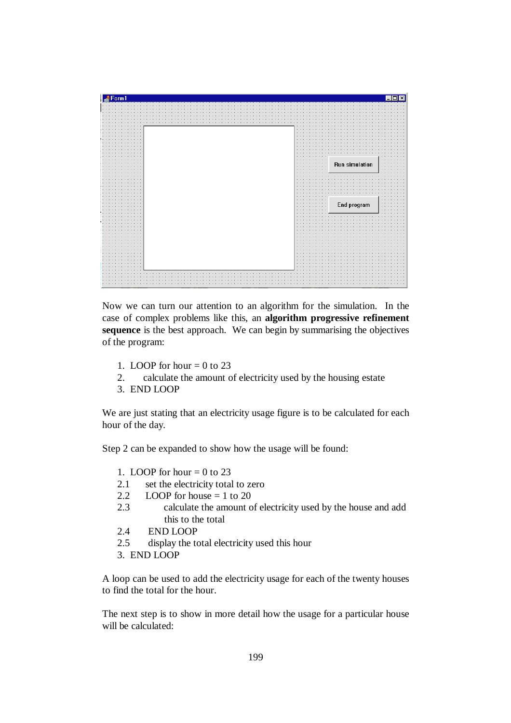| Form1                     |                                                                         |                                                  |
|---------------------------|-------------------------------------------------------------------------|--------------------------------------------------|
|                           |                                                                         |                                                  |
|                           |                                                                         |                                                  |
|                           |                                                                         |                                                  |
|                           |                                                                         |                                                  |
|                           |                                                                         |                                                  |
|                           |                                                                         |                                                  |
|                           | $\cdots$                                                                |                                                  |
|                           | $\sim$ $\sim$                                                           |                                                  |
|                           | a.                                                                      |                                                  |
|                           |                                                                         |                                                  |
|                           | $\sim$                                                                  |                                                  |
|                           | ×.                                                                      |                                                  |
| $\sim$                    | ×.                                                                      |                                                  |
|                           | $\sim$ $\sim$                                                           |                                                  |
| 14.1                      | $\cdots$                                                                |                                                  |
| $\cdots$<br><b>1999</b>   | .<br>$\cdots$<br>.<br>$\cdots$                                          | Run simulation<br>$\sim$ $\sim$<br>$\sim$ $\sim$ |
|                           | $\sim$ $\sim$<br>$\cdots$                                               | $\cdot$                                          |
|                           | $\sim$                                                                  |                                                  |
|                           | $\sim$                                                                  |                                                  |
|                           | $\cdots$<br>×.                                                          |                                                  |
|                           | ×.                                                                      |                                                  |
|                           | ×.                                                                      |                                                  |
|                           | $\sim$ $\sim$                                                           |                                                  |
| $\sim$                    |                                                                         |                                                  |
| <b>1979</b>               | $\cdots$<br>$\sim$ $\sim$<br>- 11<br>$\cdots \cdots \cdots$<br>$\cdots$ | $\sim$ $\sim$<br>$\sim$ $\sim$                   |
| . .                       | .<br>$\sim$                                                             | End program<br>$\mathcal{L}$ .                   |
| <b>18.1</b>               | $\sim$                                                                  |                                                  |
|                           | $\cdots$                                                                |                                                  |
| $\sim$ $\sim$ $\sim$      | $\sim$ $\sim$                                                           | <b><i><u>ALL</u></i></b>                         |
| $\cdot$ $\cdot$<br>$\sim$ | and in<br>×.                                                            |                                                  |
| <b>180</b>                | $\sim$ $\sim$                                                           |                                                  |
|                           | $\sim$ $\sim$                                                           |                                                  |
|                           |                                                                         |                                                  |
|                           | ×.                                                                      |                                                  |
| $\mathbf{r}$              | $\sim$<br>$\sim$ $\sim$                                                 |                                                  |
|                           | ×.                                                                      |                                                  |
|                           | $\sim$ $\sim$                                                           |                                                  |
|                           | $\sim$                                                                  |                                                  |
|                           | $\sim$ $\sim$                                                           |                                                  |
|                           | $\sim$ $\sim$<br>$\sim$ $\sim$                                          |                                                  |
|                           | $\sim$                                                                  |                                                  |
|                           |                                                                         |                                                  |
|                           |                                                                         |                                                  |
|                           |                                                                         |                                                  |
| $\bullet$                 |                                                                         |                                                  |
|                           |                                                                         |                                                  |

Now we can turn our attention to an algorithm for the simulation. In the case of complex problems like this, an **algorithm progressive refinement sequence** is the best approach. We can begin by summarising the objectives of the program:

- 1. LOOP for hour  $= 0$  to 23
- 2. calculate the amount of electricity used by the housing estate
- 3. END LOOP

We are just stating that an electricity usage figure is to be calculated for each hour of the day.

Step 2 can be expanded to show how the usage will be found:

- 1. LOOP for hour  $= 0$  to 23
- 2.1 set the electricity total to zero
- 2.2 LOOP for house  $= 1$  to 20
- 2.3 calculate the amount of electricity used by the house and add this to the total
- 2.4 END LOOP
- 2.5 display the total electricity used this hour
- 3. END LOOP

A loop can be used to add the electricity usage for each of the twenty houses to find the total for the hour.

The next step is to show in more detail how the usage for a particular house will be calculated: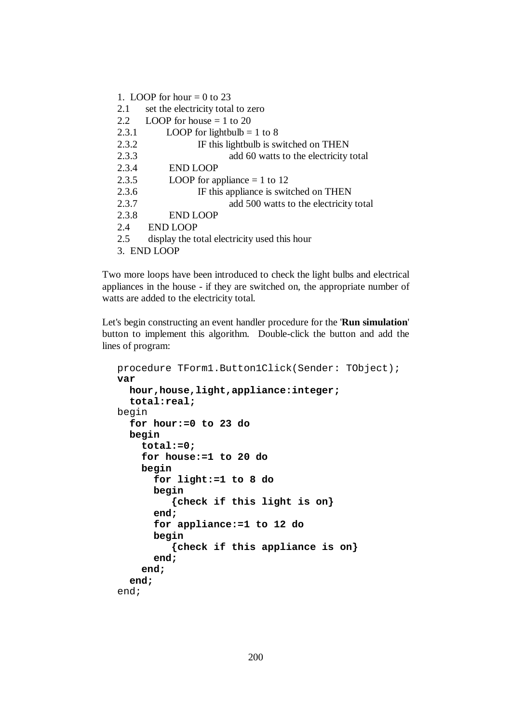- 1. LOOP for hour  $= 0$  to 23
- 2.1 set the electricity total to zero
- 2.2 LOOP for house  $= 1$  to 20

| 2.3.1 | LOOP for lightbulb = 1 to 8 |
|-------|-----------------------------|
|-------|-----------------------------|

| 2.3.2 | IF this lightbulb is switched on THEN  |
|-------|----------------------------------------|
| 2.3.3 | add 60 watts to the electricity total  |
| 2.3.4 | <b>END LOOP</b>                        |
| 2.3.5 | LOOP for appliance $= 1$ to 12         |
| 2.3.6 | IF this appliance is switched on THEN  |
| 2.3.7 | add 500 watts to the electricity total |

- 2.3.8 END LOOP
- 2.4 END LOOP
- 2.5 display the total electricity used this hour
- 3. END LOOP

Two more loops have been introduced to check the light bulbs and electrical appliances in the house - if they are switched on, the appropriate number of watts are added to the electricity total.

Let's begin constructing an event handler procedure for the '**Run simulation**' button to implement this algorithm. Double-click the button and add the lines of program:

```
procedure TForm1.Button1Click(Sender: TObject); 
var 
   hour,house,light,appliance:integer; 
   total:real; 
begin 
   for hour:=0 to 23 do 
   begin 
     total:=0; 
     for house:=1 to 20 do 
     begin 
        for light:=1 to 8 do 
       begin 
           {check if this light is on} 
        end; 
        for appliance:=1 to 12 do 
        begin 
           {check if this appliance is on} 
        end; 
     end; 
   end; 
end;
```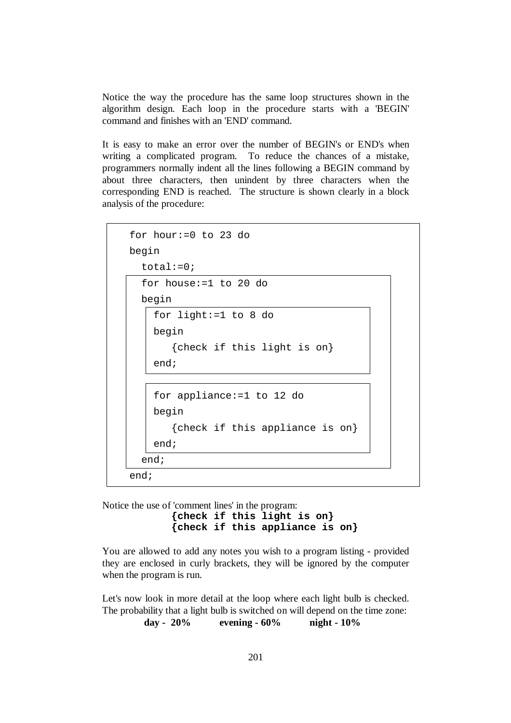Notice the way the procedure has the same loop structures shown in the algorithm design. Each loop in the procedure starts with a 'BEGIN' command and finishes with an 'END' command.

It is easy to make an error over the number of BEGIN's or END's when writing a complicated program. To reduce the chances of a mistake, programmers normally indent all the lines following a BEGIN command by about three characters, then unindent by three characters when the corresponding END is reached. The structure is shown clearly in a block analysis of the procedure:

```
 for hour:=0 to 23 do 
 begin 
  total:=0; for house:=1 to 20 do 
   begin 
     for light:=1 to 8 do 
     begin 
         {check if this light is on} 
     end; 
     for appliance:=1 to 12 do 
     begin 
         {check if this appliance is on} 
     end; 
   end; 
 end;
```
Notice the use of 'comment lines' in the program: **{check if this light is on} {check if this appliance is on}** 

You are allowed to add any notes you wish to a program listing - provided they are enclosed in curly brackets, they will be ignored by the computer when the program is run.

Let's now look in more detail at the loop where each light bulb is checked. The probability that a light bulb is switched on will depend on the time zone:

**day - 20% evening - 60% night - 10%**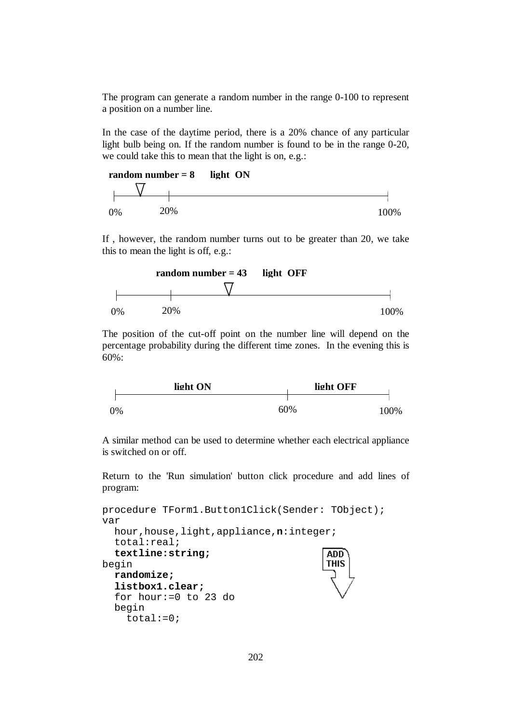The program can generate a random number in the range 0-100 to represent a position on a number line.

In the case of the daytime period, there is a 20% chance of any particular light bulb being on. If the random number is found to be in the range 0-20, we could take this to mean that the light is on, e.g.:



If , however, the random number turns out to be greater than 20, we take this to mean the light is off, e.g.:



The position of the cut-off point on the number line will depend on the percentage probability during the different time zones. In the evening this is 60%:



A similar method can be used to determine whether each electrical appliance is switched on or off.

Return to the 'Run simulation' button click procedure and add lines of program:

```
procedure TForm1.Button1Click(Sender: TObject); 
var 
   hour,house,light,appliance,n:integer; 
   total:real; 
   textline:string;
                                           ADD
begin 
                                           THIS
   randomize; 
   listbox1.clear; 
   for hour:=0 to 23 do 
   begin 
     total:=0;
```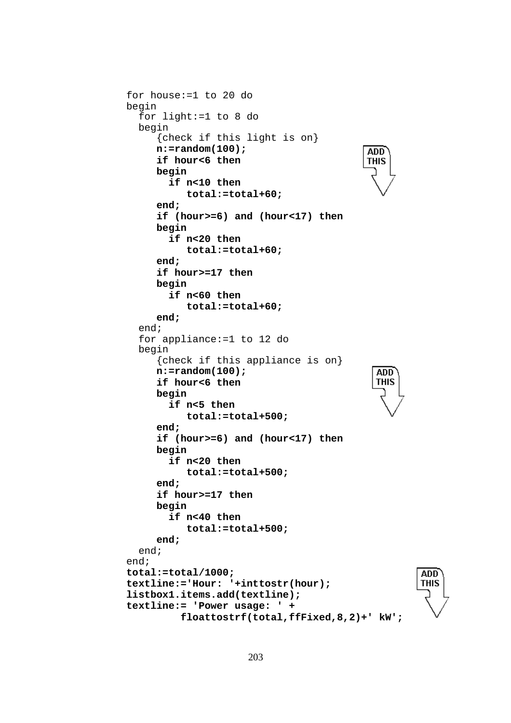```
 for house:=1 to 20 do 
 begin 
   for light:=1 to 8 do 
   begin 
       {check if this light is on} 
       n:=random(100); 
                                                ADD
       if hour<6 then 
                                                THIS
       begin 
         if n<10 then 
             total:=total+60; 
       end; 
       if (hour>=6) and (hour<17) then 
       begin 
         if n<20 then 
             total:=total+60; 
       end; 
       if hour>=17 then 
       begin 
         if n<60 then 
             total:=total+60; 
       end; 
   end; 
   for appliance:=1 to 12 do 
   begin 
       {check if this appliance is on} 
       n:=random(100); 
                                                  ADD<sup>-</sup>
                                                  THIS
       if hour<6 then 
       begin 
         if n<5 then 
             total:=total+500; 
       end; 
       if (hour>=6) and (hour<17) then 
       begin 
         if n<20 then 
             total:=total+500; 
       end; 
       if hour>=17 then 
       begin 
         if n<40 then 
             total:=total+500; 
       end; 
   end; 
 end; 
 total:=total/1000; 
                                                           ADD
 textline:='Hour: '+inttostr(hour); 
                                                          THIS
 listbox1.items.add(textline); 
 textline:= 'Power usage: ' + 
           floattostrf(total,ffFixed,8,2)+' kW';
```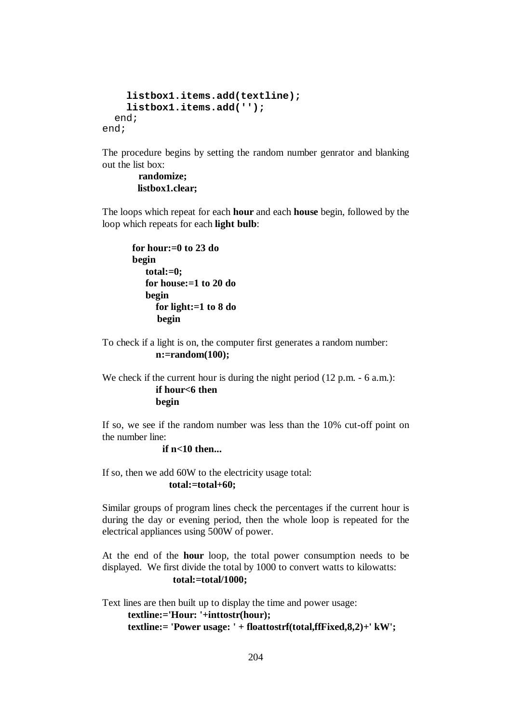```
 listbox1.items.add(textline); 
     listbox1.items.add(''); 
   end; 
end;
```
The procedure begins by setting the random number genrator and blanking out the list box:

## **randomize; listbox1.clear;**

The loops which repeat for each **hour** and each **house** begin, followed by the loop which repeats for each **light bulb**:

```
for hour:=0 to 23 do 
begin 
    total:=0; 
    for house:=1 to 20 do 
    begin 
       for light:=1 to 8 do 
       begin
```
To check if a light is on, the computer first generates a random number: **n:=random(100);** 

We check if the current hour is during the night period (12 p.m. - 6 a.m.): **if hour<6 then begin** 

If so, we see if the random number was less than the 10% cut-off point on the number line:

### **if n<10 then...**

If so, then we add 60W to the electricity usage total: **total:=total+60;** 

Similar groups of program lines check the percentages if the current hour is during the day or evening period, then the whole loop is repeated for the electrical appliances using 500W of power.

At the end of the **hour** loop, the total power consumption needs to be displayed. We first divide the total by 1000 to convert watts to kilowatts:  **total:=total/1000;** 

Text lines are then built up to display the time and power usage: **textline:='Hour: '+inttostr(hour); textline:= 'Power usage: ' + floattostrf(total,ffFixed,8,2)+' kW';**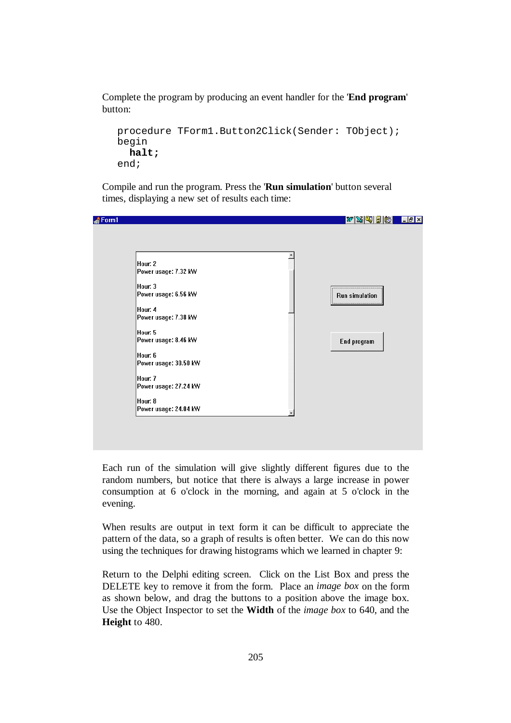Complete the program by producing an event handler for the '**End program**' button:

```
procedure TForm1.Button2Click(Sender: TObject); 
begin 
   halt; 
end;
```
Compile and run the program. Press the '**Run simulation**' button several times, displaying a new set of results each time:

| Hour: 2               |                |
|-----------------------|----------------|
| Power usage: 7.32 kW  |                |
| Hour: 3               |                |
| Power usage: 6.56 kW  | Run simulation |
| Hour: 4               |                |
| Power usage: 7.38 kW  |                |
| Hour: 5               |                |
| Power usage: 8.46 kW  | End program    |
| Hour: 6               |                |
| Power usage: 30.50 kW |                |
|                       |                |
| Hour: 7               |                |
| Power usage: 27.24 kW |                |
| Hour: 8               |                |
| Power usage: 24.04 kW |                |

Each run of the simulation will give slightly different figures due to the random numbers, but notice that there is always a large increase in power consumption at 6 o'clock in the morning, and again at 5 o'clock in the evening.

When results are output in text form it can be difficult to appreciate the pattern of the data, so a graph of results is often better. We can do this now using the techniques for drawing histograms which we learned in chapter 9:

Return to the Delphi editing screen. Click on the List Box and press the DELETE key to remove it from the form. Place an *image box* on the form as shown below, and drag the buttons to a position above the image box. Use the Object Inspector to set the **Width** of the *image box* to 640, and the **Height** to 480.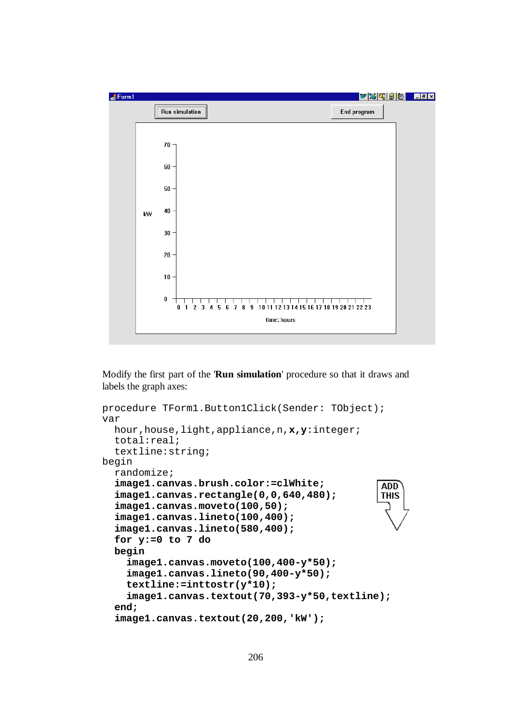

Modify the first part of the '**Run simulation**' procedure so that it draws and labels the graph axes:

```
procedure TForm1.Button1Click(Sender: TObject); 
var 
   hour,house,light,appliance,n,x,y:integer; 
   total:real; 
   textline:string; 
begin 
   randomize; 
   image1.canvas.brush.color:=clWhite; 
                                                   ADD
   image1.canvas.rectangle(0,0,640,480); 
                                                   THIS
   image1.canvas.moveto(100,50); 
   image1.canvas.lineto(100,400); 
   image1.canvas.lineto(580,400); 
   for y:=0 to 7 do 
   begin 
     image1.canvas.moveto(100,400-y*50); 
     image1.canvas.lineto(90,400-y*50); 
     textline:=inttostr(y*10); 
     image1.canvas.textout(70,393-y*50,textline); 
   end; 
   image1.canvas.textout(20,200,'kW');
```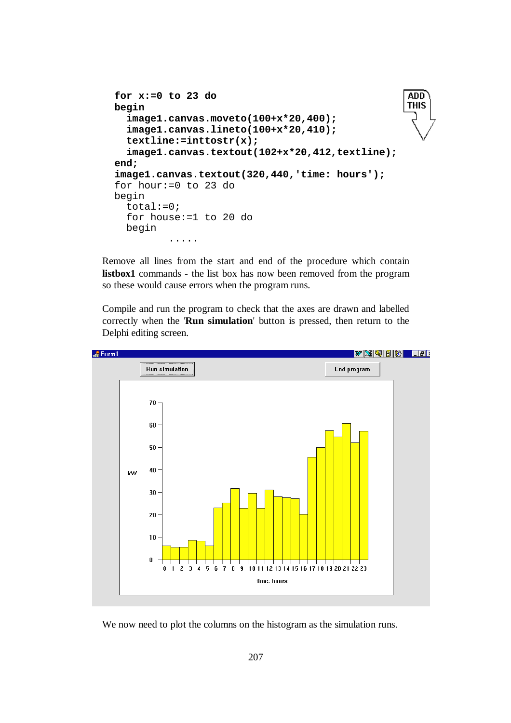```
 for x:=0 to 23 do 
                                                       ADD
                                                       THIS
 begin 
   image1.canvas.moveto(100+x*20,400); 
   image1.canvas.lineto(100+x*20,410); 
   textline:=inttostr(x); 
   image1.canvas.textout(102+x*20,412,textline); 
 end; 
 image1.canvas.textout(320,440,'time: hours'); 
 for hour:=0 to 23 do 
 begin 
  total:=0; for house:=1 to 20 do 
   begin 
           .....
```
Remove all lines from the start and end of the procedure which contain **listbox1** commands - the list box has now been removed from the program so these would cause errors when the program runs.

Compile and run the program to check that the axes are drawn and labelled correctly when the '**Run simulation**' button is pressed, then return to the Delphi editing screen.



We now need to plot the columns on the histogram as the simulation runs.